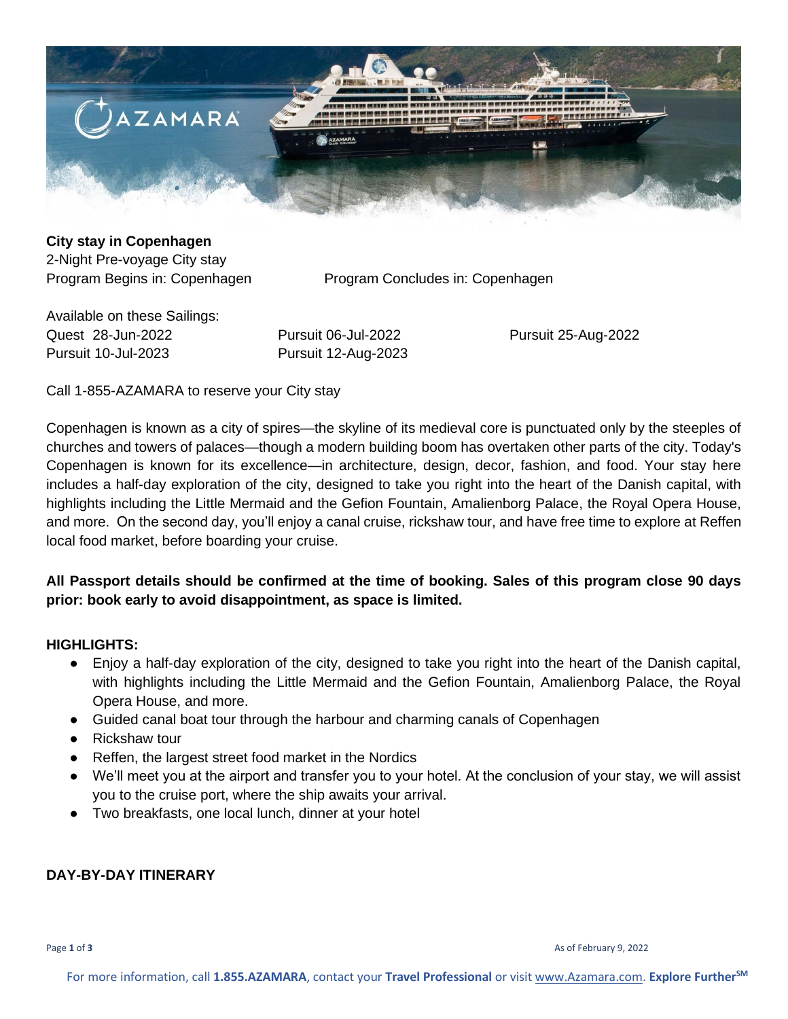

### **City stay in Copenhagen**  2-Night Pre-voyage City stay

Program Begins in: Copenhagen Program Concludes in: Copenhagen

Available on these Sailings: Quest 28-Jun-2022 Pursuit 06-Jul-2022 Pursuit 25-Aug-2022 Pursuit 10-Jul-2023 Pursuit 12-Aug-2023

Call 1-855-AZAMARA to reserve your City stay

Copenhagen is known as a city of spires—the skyline of its medieval core is punctuated only by the steeples of churches and towers of palaces—though a modern building boom has overtaken other parts of the city. Today's Copenhagen is known for its excellence—in architecture, design, decor, fashion, and food. Your stay here includes a half-day exploration of the city, designed to take you right into the heart of the Danish capital, with highlights including the Little Mermaid and the Gefion Fountain, Amalienborg Palace, the Royal Opera House, and more. On the second day, you'll enjoy a canal cruise, rickshaw tour, and have free time to explore at Reffen local food market, before boarding your cruise.

## **All Passport details should be confirmed at the time of booking. Sales of this program close 90 days prior: book early to avoid disappointment, as space is limited.**

### **HIGHLIGHTS:**

- Enjoy a half-day exploration of the city, designed to take you right into the heart of the Danish capital, with highlights including the Little Mermaid and the Gefion Fountain, Amalienborg Palace, the Royal Opera House, and more.
- Guided canal boat tour through the harbour and charming canals of Copenhagen
- Rickshaw tour
- Reffen, the largest street food market in the Nordics
- We'll meet you at the airport and transfer you to your hotel. At the conclusion of your stay, we will assist you to the cruise port, where the ship awaits your arrival.
- Two breakfasts, one local lunch, dinner at your hotel

### **DAY-BY-DAY ITINERARY**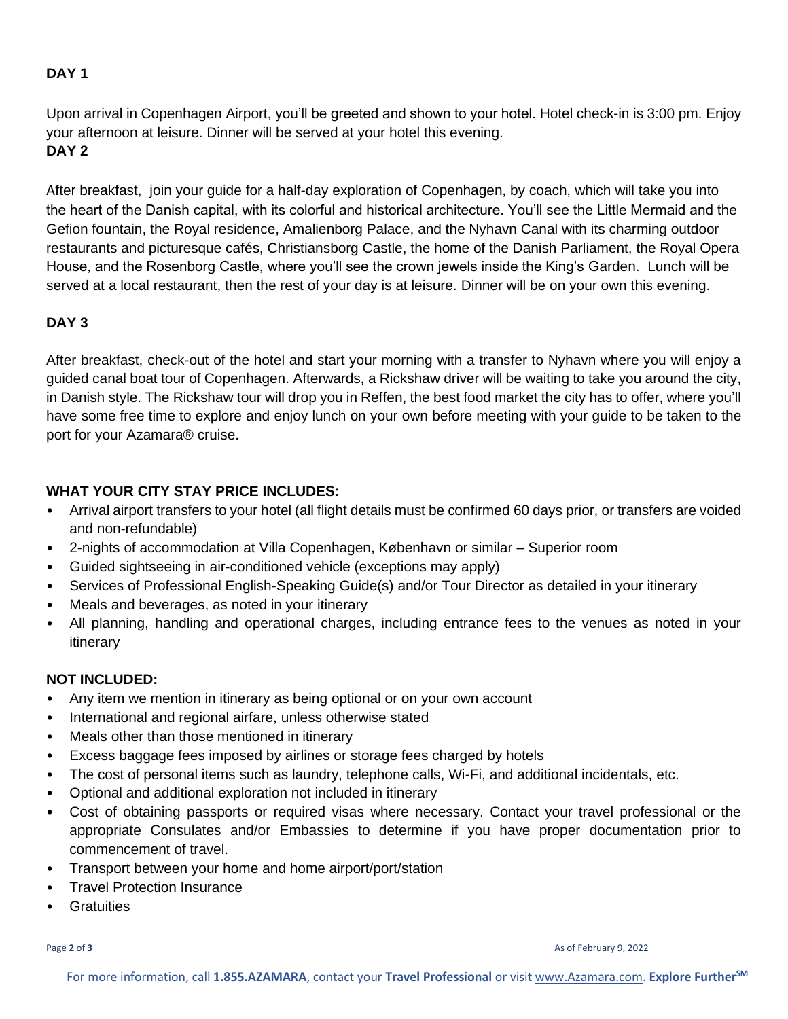## **DAY 1**

Upon arrival in Copenhagen Airport, you'll be greeted and shown to your hotel. Hotel check-in is 3:00 pm. Enjoy your afternoon at leisure. Dinner will be served at your hotel this evening. **DAY 2**

After breakfast, join your guide for a half-day exploration of Copenhagen, by coach, which will take you into the heart of the Danish capital, with its colorful and historical architecture. You'll see the Little Mermaid and the Gefion fountain, the Royal residence, Amalienborg Palace, and the Nyhavn Canal with its charming outdoor restaurants and picturesque cafés, Christiansborg Castle, the home of the Danish Parliament, the Royal Opera House, and the Rosenborg Castle, where you'll see the crown jewels inside the King's Garden. Lunch will be served at a local restaurant, then the rest of your day is at leisure. Dinner will be on your own this evening.

# **DAY 3**

After breakfast, check-out of the hotel and start your morning with a transfer to Nyhavn where you will enjoy a guided canal boat tour of Copenhagen. Afterwards, a Rickshaw driver will be waiting to take you around the city, in Danish style. The Rickshaw tour will drop you in Reffen, the best food market the city has to offer, where you'll have some free time to explore and enjoy lunch on your own before meeting with your guide to be taken to the port for your Azamara® cruise.

## **WHAT YOUR CITY STAY PRICE INCLUDES:**

- Arrival airport transfers to your hotel (all flight details must be confirmed 60 days prior, or transfers are voided and non-refundable)
- 2-nights of accommodation at Villa Copenhagen, København or similar Superior room
- Guided sightseeing in air-conditioned vehicle (exceptions may apply)
- Services of Professional English-Speaking Guide(s) and/or Tour Director as detailed in your itinerary
- Meals and beverages, as noted in your itinerary
- All planning, handling and operational charges, including entrance fees to the venues as noted in your itinerary

## **NOT INCLUDED:**

- Any item we mention in itinerary as being optional or on your own account
- International and regional airfare, unless otherwise stated
- Meals other than those mentioned in itinerary
- Excess baggage fees imposed by airlines or storage fees charged by hotels
- The cost of personal items such as laundry, telephone calls, Wi-Fi, and additional incidentals, etc.
- Optional and additional exploration not included in itinerary
- Cost of obtaining passports or required visas where necessary. Contact your travel professional or the appropriate Consulates and/or Embassies to determine if you have proper documentation prior to commencement of travel.
- Transport between your home and home airport/port/station
- Travel Protection Insurance
- **Gratuities**

Page **2** of **3** As of February 9, 2022